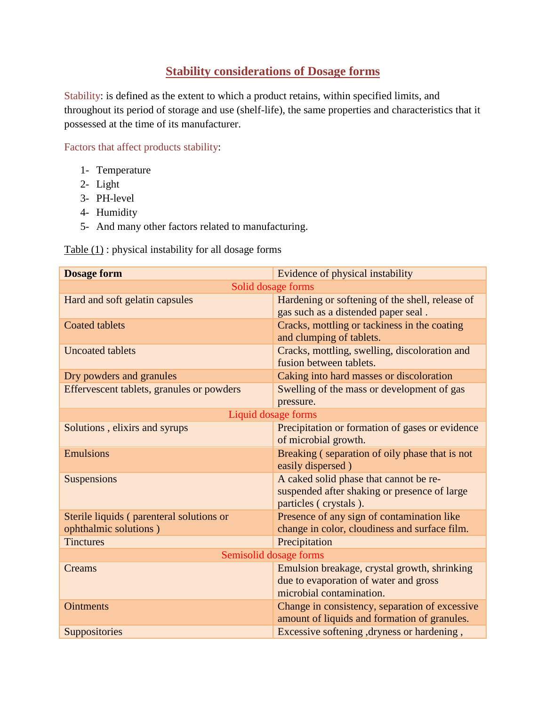## **Stability considerations of Dosage forms**

Stability: is defined as the extent to which a product retains, within specified limits, and throughout its period of storage and use (shelf-life), the same properties and characteristics that it possessed at the time of its manufacturer.

Factors that affect products stability:

- 1- Temperature
- 2- Light
- 3- PH-level
- 4- Humidity
- 5- And many other factors related to manufacturing.

Table  $(1)$ : physical instability for all dosage forms

| <b>Dosage form</b>                                                | Evidence of physical instability                                                                                  |
|-------------------------------------------------------------------|-------------------------------------------------------------------------------------------------------------------|
|                                                                   | Solid dosage forms                                                                                                |
| Hard and soft gelatin capsules                                    | Hardening or softening of the shell, release of<br>gas such as a distended paper seal.                            |
| <b>Coated tablets</b>                                             | Cracks, mottling or tackiness in the coating<br>and clumping of tablets.                                          |
| <b>Uncoated tablets</b>                                           | Cracks, mottling, swelling, discoloration and<br>fusion between tablets.                                          |
| Dry powders and granules                                          | Caking into hard masses or discoloration                                                                          |
| Effervescent tablets, granules or powders                         | Swelling of the mass or development of gas<br>pressure.                                                           |
| Liquid dosage forms                                               |                                                                                                                   |
| Solutions, elixirs and syrups                                     | Precipitation or formation of gases or evidence<br>of microbial growth.                                           |
| <b>Emulsions</b>                                                  | Breaking (separation of oily phase that is not<br>easily dispersed)                                               |
| Suspensions                                                       | A caked solid phase that cannot be re-<br>suspended after shaking or presence of large<br>particles (crystals).   |
| Sterile liquids (parenteral solutions or<br>ophthalmic solutions) | Presence of any sign of contamination like<br>change in color, cloudiness and surface film.                       |
| <b>Tinctures</b>                                                  | Precipitation                                                                                                     |
| Semisolid dosage forms                                            |                                                                                                                   |
| Creams                                                            | Emulsion breakage, crystal growth, shrinking<br>due to evaporation of water and gross<br>microbial contamination. |
| <b>Ointments</b>                                                  | Change in consistency, separation of excessive<br>amount of liquids and formation of granules.                    |
| Suppositories                                                     | Excessive softening, dryness or hardening,                                                                        |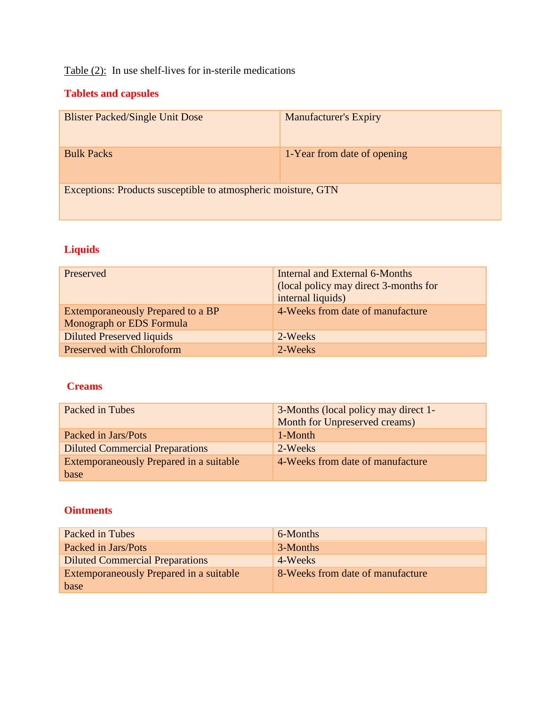# Table (2): In use shelf-lives for in-sterile medications

## **Tablets and capsules**

| <b>Blister Packed/Single Unit Dose</b>                        | <b>Manufacturer's Expiry</b> |
|---------------------------------------------------------------|------------------------------|
| <b>Bulk Packs</b>                                             | 1-Year from date of opening  |
| Exceptions: Products susceptible to atmospheric moisture, GTN |                              |

# **Liquids**

| Preserved                                                            | Internal and External 6-Months<br>(local policy may direct 3-months for<br>internal liquids) |
|----------------------------------------------------------------------|----------------------------------------------------------------------------------------------|
| <b>Extemporaneously Prepared to a BP</b><br>Monograph or EDS Formula | 4-Weeks from date of manufacture                                                             |
| Diluted Preserved liquids                                            | 2-Weeks                                                                                      |
| <b>Preserved with Chloroform</b>                                     | 2-Weeks                                                                                      |

### **Creams**

| Packed in Tubes                         | 3-Months (local policy may direct 1-<br>Month for Unpreserved creams) |
|-----------------------------------------|-----------------------------------------------------------------------|
| Packed in Jars/Pots                     | 1-Month                                                               |
| <b>Diluted Commercial Preparations</b>  | 2-Weeks                                                               |
| Extemporaneously Prepared in a suitable | 4-Weeks from date of manufacture                                      |
| base                                    |                                                                       |

### **Ointments**

| Packed in Tubes                         | 6-Months                         |
|-----------------------------------------|----------------------------------|
| Packed in Jars/Pots                     | 3-Months                         |
| <b>Diluted Commercial Preparations</b>  | 4-Weeks                          |
| Extemporaneously Prepared in a suitable | 8-Weeks from date of manufacture |
| base                                    |                                  |